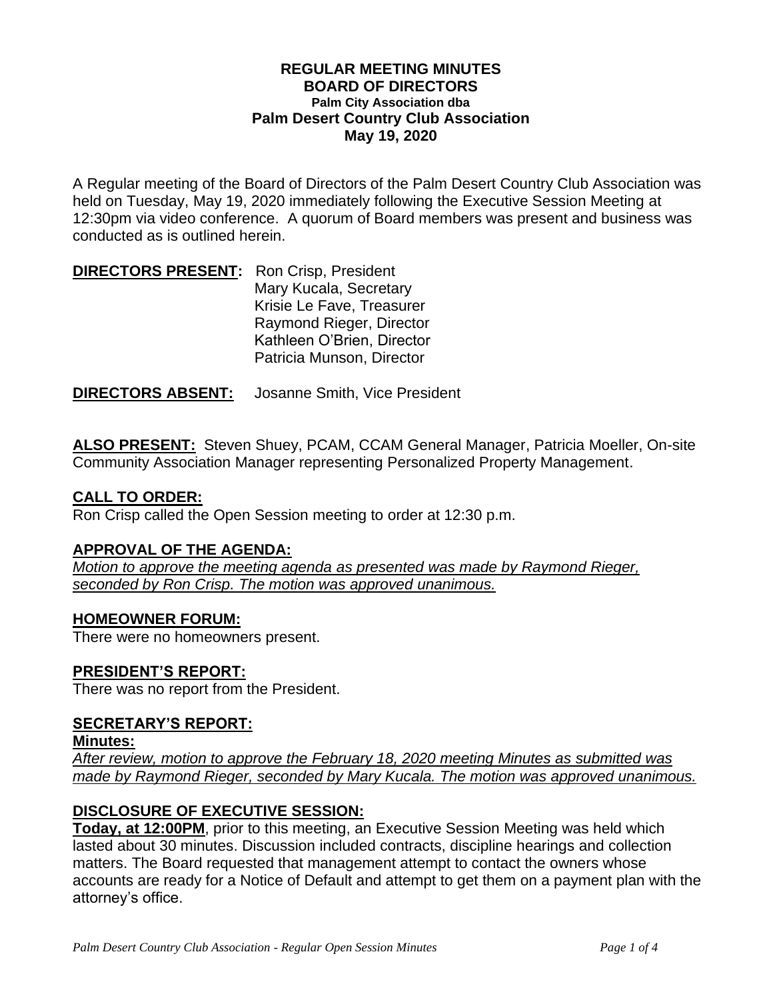#### **REGULAR MEETING MINUTES BOARD OF DIRECTORS Palm City Association dba Palm Desert Country Club Association May 19, 2020**

A Regular meeting of the Board of Directors of the Palm Desert Country Club Association was held on Tuesday, May 19, 2020 immediately following the Executive Session Meeting at 12:30pm via video conference. A quorum of Board members was present and business was conducted as is outlined herein.

| <b>DIRECTORS PRESENT:</b> Ron Crisp, President |                            |
|------------------------------------------------|----------------------------|
|                                                | Mary Kucala, Secretary     |
|                                                | Krisie Le Fave, Treasurer  |
|                                                | Raymond Rieger, Director   |
|                                                | Kathleen O'Brien, Director |
|                                                | Patricia Munson, Director  |

**DIRECTORS ABSENT:** Josanne Smith, Vice President

**ALSO PRESENT:** Steven Shuey, PCAM, CCAM General Manager, Patricia Moeller, On-site Community Association Manager representing Personalized Property Management.

# **CALL TO ORDER:**

Ron Crisp called the Open Session meeting to order at 12:30 p.m.

### **APPROVAL OF THE AGENDA:**

*Motion to approve the meeting agenda as presented was made by Raymond Rieger, seconded by Ron Crisp. The motion was approved unanimous.*

### **HOMEOWNER FORUM:**

There were no homeowners present.

# **PRESIDENT'S REPORT:**

There was no report from the President.

### **SECRETARY'S REPORT:**

#### **Minutes:**

*After review, motion to approve the February 18, 2020 meeting Minutes as submitted was made by Raymond Rieger, seconded by Mary Kucala. The motion was approved unanimous.* 

# **DISCLOSURE OF EXECUTIVE SESSION:**

**Today, at 12:00PM**, prior to this meeting, an Executive Session Meeting was held which lasted about 30 minutes. Discussion included contracts, discipline hearings and collection matters. The Board requested that management attempt to contact the owners whose accounts are ready for a Notice of Default and attempt to get them on a payment plan with the attorney's office.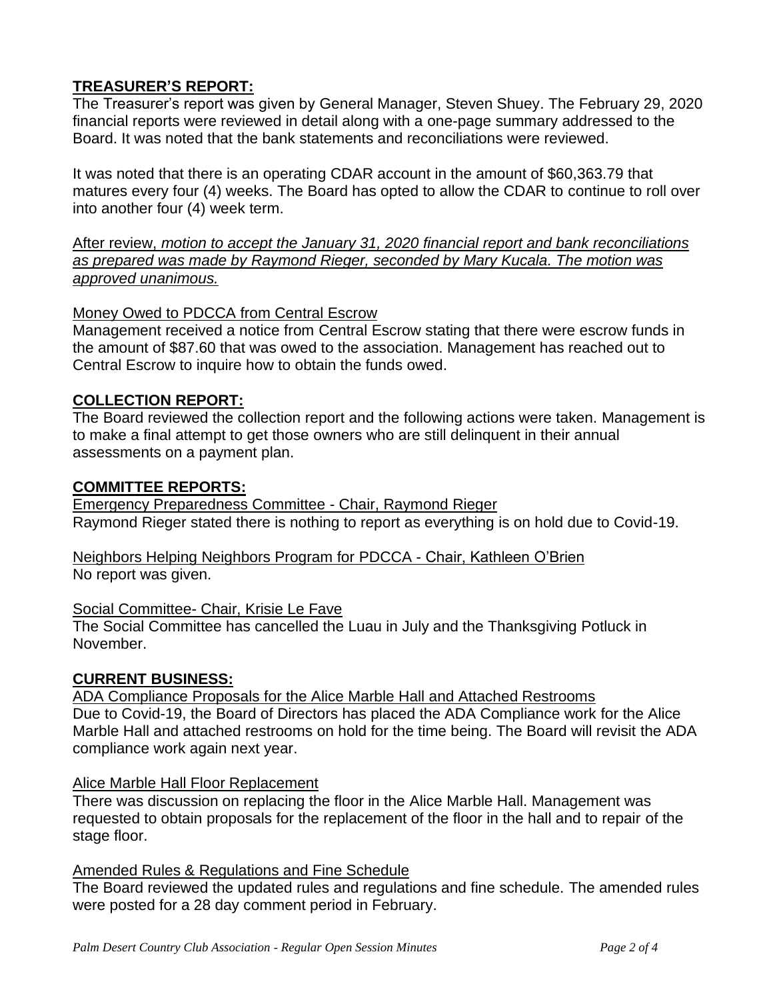# **TREASURER'S REPORT:**

The Treasurer's report was given by General Manager, Steven Shuey. The February 29, 2020 financial reports were reviewed in detail along with a one-page summary addressed to the Board. It was noted that the bank statements and reconciliations were reviewed.

It was noted that there is an operating CDAR account in the amount of \$60,363.79 that matures every four (4) weeks. The Board has opted to allow the CDAR to continue to roll over into another four (4) week term.

After review, *motion to accept the January 31, 2020 financial report and bank reconciliations as prepared was made by Raymond Rieger, seconded by Mary Kucala. The motion was approved unanimous.* 

### Money Owed to PDCCA from Central Escrow

Management received a notice from Central Escrow stating that there were escrow funds in the amount of \$87.60 that was owed to the association. Management has reached out to Central Escrow to inquire how to obtain the funds owed.

# **COLLECTION REPORT:**

The Board reviewed the collection report and the following actions were taken. Management is to make a final attempt to get those owners who are still delinquent in their annual assessments on a payment plan.

### **COMMITTEE REPORTS:**

Emergency Preparedness Committee - Chair, Raymond Rieger Raymond Rieger stated there is nothing to report as everything is on hold due to Covid-19.

Neighbors Helping Neighbors Program for PDCCA - Chair, Kathleen O'Brien No report was given.

### Social Committee- Chair, Krisie Le Fave

The Social Committee has cancelled the Luau in July and the Thanksgiving Potluck in November.

### **CURRENT BUSINESS:**

ADA Compliance Proposals for the Alice Marble Hall and Attached Restrooms Due to Covid-19, the Board of Directors has placed the ADA Compliance work for the Alice Marble Hall and attached restrooms on hold for the time being. The Board will revisit the ADA compliance work again next year.

### Alice Marble Hall Floor Replacement

There was discussion on replacing the floor in the Alice Marble Hall. Management was requested to obtain proposals for the replacement of the floor in the hall and to repair of the stage floor.

## **Amended Rules & Regulations and Fine Schedule**

The Board reviewed the updated rules and regulations and fine schedule. The amended rules were posted for a 28 day comment period in February.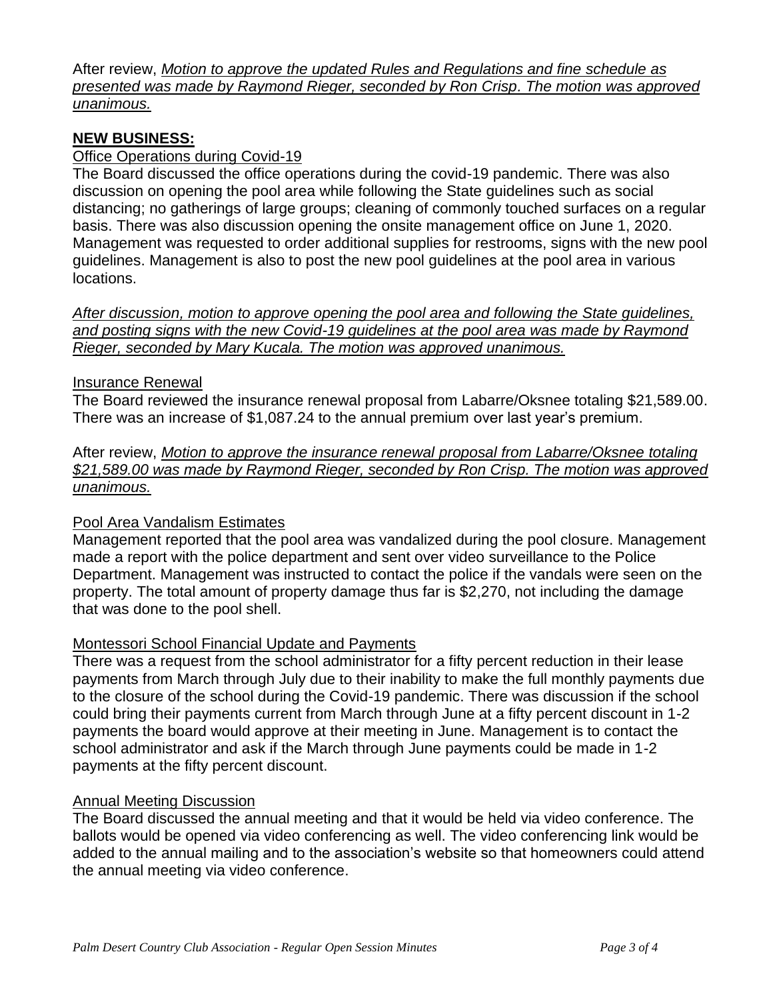After review, *Motion to approve the updated Rules and Regulations and fine schedule as presented was made by Raymond Rieger, seconded by Ron Crisp. The motion was approved unanimous.*

# **NEW BUSINESS:**

## Office Operations during Covid-19

The Board discussed the office operations during the covid-19 pandemic. There was also discussion on opening the pool area while following the State guidelines such as social distancing; no gatherings of large groups; cleaning of commonly touched surfaces on a regular basis. There was also discussion opening the onsite management office on June 1, 2020. Management was requested to order additional supplies for restrooms, signs with the new pool guidelines. Management is also to post the new pool guidelines at the pool area in various locations.

*After discussion, motion to approve opening the pool area and following the State guidelines, and posting signs with the new Covid-19 guidelines at the pool area was made by Raymond Rieger, seconded by Mary Kucala. The motion was approved unanimous.*

#### Insurance Renewal

The Board reviewed the insurance renewal proposal from Labarre/Oksnee totaling \$21,589.00. There was an increase of \$1,087.24 to the annual premium over last year's premium.

After review, *Motion to approve the insurance renewal proposal from Labarre/Oksnee totaling \$21,589.00 was made by Raymond Rieger, seconded by Ron Crisp. The motion was approved unanimous.*

### Pool Area Vandalism Estimates

Management reported that the pool area was vandalized during the pool closure. Management made a report with the police department and sent over video surveillance to the Police Department. Management was instructed to contact the police if the vandals were seen on the property. The total amount of property damage thus far is \$2,270, not including the damage that was done to the pool shell.

### Montessori School Financial Update and Payments

There was a request from the school administrator for a fifty percent reduction in their lease payments from March through July due to their inability to make the full monthly payments due to the closure of the school during the Covid-19 pandemic. There was discussion if the school could bring their payments current from March through June at a fifty percent discount in 1-2 payments the board would approve at their meeting in June. Management is to contact the school administrator and ask if the March through June payments could be made in 1-2 payments at the fifty percent discount.

### Annual Meeting Discussion

The Board discussed the annual meeting and that it would be held via video conference. The ballots would be opened via video conferencing as well. The video conferencing link would be added to the annual mailing and to the association's website so that homeowners could attend the annual meeting via video conference.